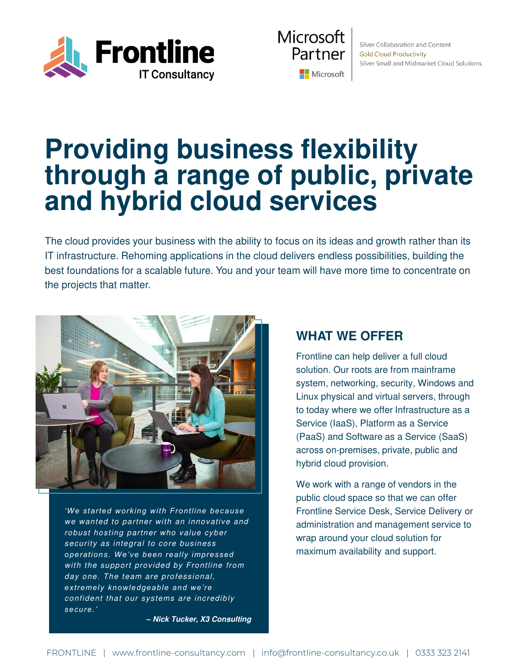



Silver Collaboration and Content **Gold Cloud Productivity** Silver Small and Midmarket Cloud Solutions

## **Providing business flexibility through a range of public, private and hybrid cloud services**

The cloud provides your business with the ability to focus on its ideas and growth rather than its IT infrastructure. Rehoming applications in the cloud delivers endless possibilities, building the best foundations for a scalable future. You and your team will have more time to concentrate on the projects that matter.



*'We started working with Frontline because*  we wanted to partner with an innovative and robust hosting partner who value cyber security as integral to core business *operations. We've been really impressed*  with the support provided by Frontline from day one. The team are professional, *extremely knowledgeable and we're*  confident that our systems are incredibly *secure.' –* **Nick Tucker, X3 Consulting**

### **WHAT WE OFFER**

Frontline can help deliver a full cloud solution. Our roots are from mainframe system, networking, security, Windows and Linux physical and virtual servers, through to today where we offer Infrastructure as a Service (IaaS), Platform as a Service (PaaS) and Software as a Service (SaaS) across on-premises, private, public and hybrid cloud provision.

We work with a range of vendors in the public cloud space so that we can offer Frontline Service Desk, Service Delivery or administration and management service to wrap around your cloud solution for maximum availability and support.